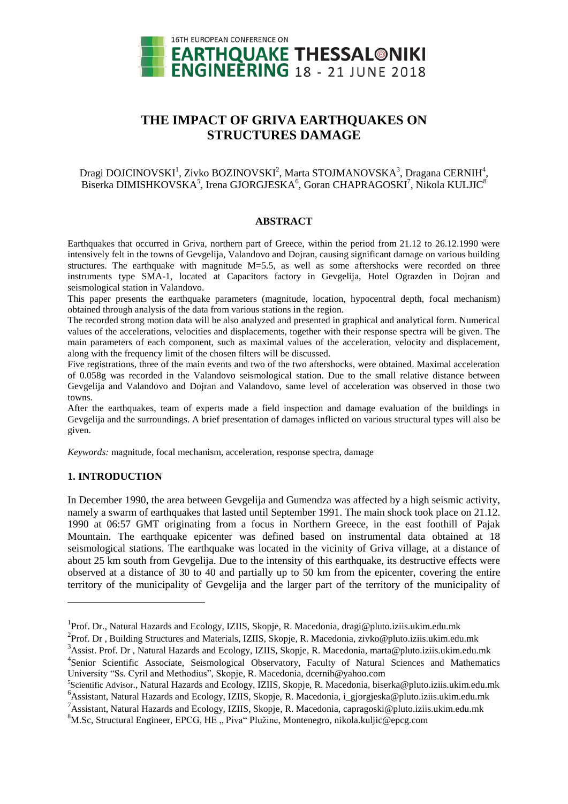

# **THE IMPACT OF GRIVA EARTHQUAKES ON STRUCTURES DAMAGE**

# Dragi DOJCINOVSKI<sup>1</sup>, Zivko BOZINOVSKI<sup>2</sup>, Marta STOJMANOVSKA $^3$ , Dragana CERNIH $^4$ , Biserka DIMISHKOVSKA $^5$ , Irena GJORGJESKA $^6$ , Goran CHAPRAGOSKI $^7$ , Nikola KULJIC $^8$

#### **ABSTRACT**

Earthquakes that occurred in Griva, northern part of Greece, within the period from 21.12 to 26.12.1990 were intensively felt in the towns of Gevgelija, Valandovo and Dojran, causing significant damage on various building structures. The earthquake with magnitude M=5.5, as well as some aftershocks were recorded on three instruments type SMA-1, located at Capacitors factory in Gevgelija, Hotel Ograzden in Dojran and seismological station in Valandovo.

This paper presents the earthquake parameters (magnitude, location, hypocentral depth, focal mechanism) obtained through analysis of the data from various stations in the region.

The recorded strong motion data will be also analyzed and presented in graphical and analytical form. Numerical values of the accelerations, velocities and displacements, together with their response spectra will be given. The main parameters of each component, such as maximal values of the acceleration, velocity and displacement, along with the frequency limit of the chosen filters will be discussed.

Five registrations, three of the main events and two of the two aftershocks, were obtained. Maximal acceleration of 0.058g was recorded in the Valandovo seismological station. Due to the small relative distance between Gevgelija and Valandovo and Dojran and Valandovo, same level of acceleration was observed in those two towns.

After the earthquakes, team of experts made a field inspection and damage evaluation of the buildings in Gevgelija and the surroundings. A brief presentation of damages inflicted on various structural types will also be given.

*Keywords:* magnitude, focal mechanism, acceleration, response spectra, damage

## **1. INTRODUCTION**

l

In December 1990, the area between Gevgelija and Gumendza was affected by a high seismic activity, namely a swarm of earthquakes that lasted until September 1991. The main shock took place on 21.12. 1990 at 06:57 GMT originating from a focus in Northern Greece, in the east foothill of Pajak Mountain. The earthquake epicenter was defined based on instrumental data obtained at 18 seismological stations. The earthquake was located in the vicinity of Griva village, at a distance of about 25 km south from Gevgelija. Due to the intensity of this earthquake, its destructive effects were observed at a distance of 30 to 40 and partially up to 50 km from the epicenter, covering the entire territory of the municipality of Gevgelija and the larger part of the territory of the municipality of

5 Scientific Advisor., Natural Hazards and Ecology, IZIIS, Skopje, R. Macedonia[, biserka@pluto.iziis.ukim.edu.mk](mailto:biserka@pluto.iziis.ukim.edu.mk) <sup>6</sup>Assistant, Natural Hazards and Ecology, IZIIS, Skopje, R. Macedonia, i\_gjorgjeska@pluto.iziis.ukim.edu.mk

<sup>&</sup>lt;sup>1</sup> Prof. Dr., Natural Hazards and Ecology, IZIIS, Skopje, R. Macedonia, [dragi@pluto.iziis.ukim.edu.mk](mailto:dragi@pluto.iziis.ukim.edu.mk)

<sup>&</sup>lt;sup>2</sup>Prof. Dr, Building Structures and Materials, IZIIS, Skopje, R. Macedonia, [zivko@pluto.iziis.ukim.edu.mk](mailto:zivko@pluto.iziis.ukim.edu.mk)

<sup>&</sup>lt;sup>3</sup> Assist. Prof. Dr , Natural Hazards and Ecology, IZIIS, Skopje, R. Macedonia, [marta@pluto.iziis.ukim.edu.mk](mailto:marta@pluto.iziis.ukim.edu.mk) <sup>4</sup>Senior Scientific Associate, Seismological Observatory, Faculty of Natural Sciences and Mathematics University "Ss. Cyril and Methodius", Skopje, R. Macedonia, dcernih@yahoo.com

<sup>7</sup>Assistant, Natural Hazards and Ecology, IZIIS, Skopje, R. Macedonia[, capragoski@pluto.iziis.ukim.edu.mk](mailto:capragoski@pluto.iziis.ukim.edu.mk)

<sup>&</sup>lt;sup>8</sup>M.Sc, Structural Engineer, EPCG, HE "Piva" Plužine, Montenegro, nikola[.kuljic@epcg.com](mailto:kuljic@epcg.com)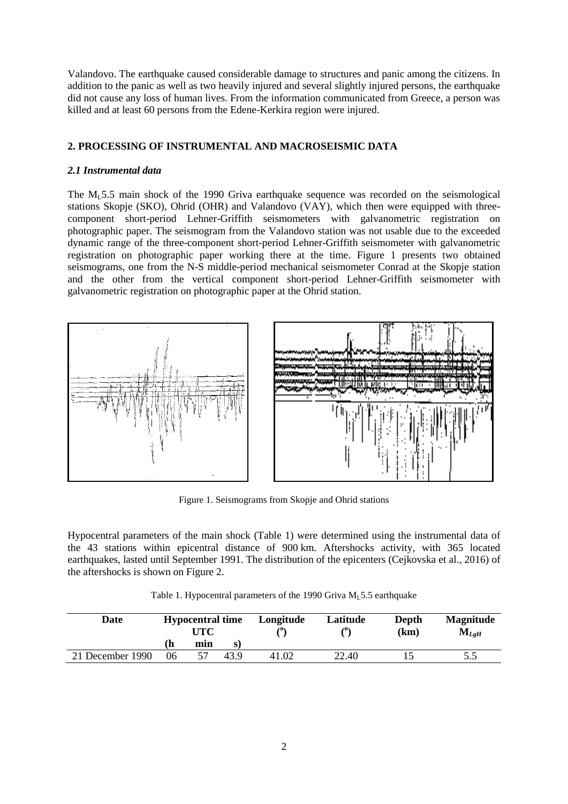Valandovo. The earthquake caused considerable damage to structures and panic among the citizens. In addition to the panic as well as two heavily injured and several slightly injured persons, the earthquake did not cause any loss of human lives. From the information communicated from Greece, a person was killed and at least 60 persons from the Edene-Kerkira region were injured.

# **2. PROCESSING OF INSTRUMENTAL AND MACROSEISMIC DATA**

## *2.1 Instrumental data*

The  $M_1$ 5.5 main shock of the 1990 Griva earthquake sequence was recorded on the seismological stations Skopje (SKO), Ohrid (OHR) and Valandovo (VAY), which then were equipped with threecomponent short-period Lehner-Griffith seismometers with galvanometric registration on photographic paper. The seismogram from the Valandovo station was not usable due to the exceeded dynamic range of the three-component short-period Lehner-Griffith seismometer with galvanometric registration on photographic paper working there at the time. Figure 1 presents two obtained seismograms, one from the N-S middle-period mechanical seismometer Conrad at the Skopje station and the other from the vertical component short-period Lehner-Griffith seismometer with galvanometric registration on photographic paper at the Ohrid station.



Figure 1. Seismograms from Skopje and Ohrid stations

Hypocentral parameters of the main shock (Table 1) were determined using the instrumental data of the 43 stations within epicentral distance of 900 km. Aftershocks activity, with 365 located earthquakes, lasted until September 1991. The distribution of the epicenters (Cejkovska et al., 2016) of the aftershocks is shown on Figure 2.

| Table 1. Hypocentral parameters of the 1990 Griva $ML$ 5.5 earthquake |  |  |  |
|-----------------------------------------------------------------------|--|--|--|
|                                                                       |  |  |  |

| Date             | <b>Hypocentral time</b><br>UTC |     | Longitude | Latitude<br>$\ell^0$ | Depth<br>(km) | <b>Magnitude</b><br>$\mathrm{M}_{LgH}$ |     |
|------------------|--------------------------------|-----|-----------|----------------------|---------------|----------------------------------------|-----|
|                  | n                              | min | S)        |                      |               |                                        |     |
| 21 December 1990 | 06                             |     | 43.9      | 41.02                | 22.40         |                                        | 5.5 |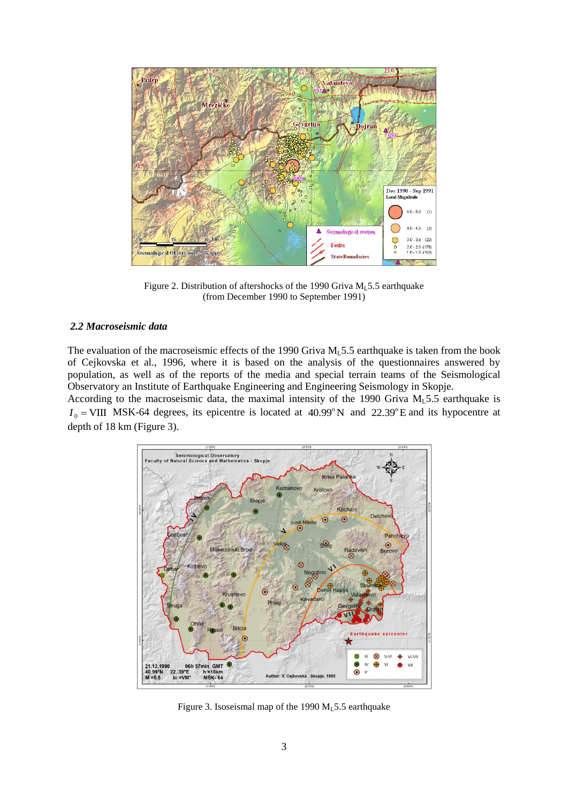

Figure 2. Distribution of aftershocks of the 1990 Griva  $M<sub>L</sub>$ 5.5 earthquake (from December 1990 to September 1991)

#### *2.2 Macroseismic data*

The evaluation of the macroseismic effects of the 1990 Griva  $M_1$  5.5 earthquake is taken from the book of Cejkovska et al., 1996, where it is based on the analysis of the questionnaires answered by population, as well as of the reports of the media and special terrain teams of the Seismological Observatory an Institute of Earthquake Engineering and Engineering Seismology in Skopje.

According to the macroseismic data, the maximal intensity of the 1990 Griva  $M_L$ 5.5 earthquake is  $I_0$  = VIII MSK-64 degrees, its epicentre is located at 40.99°N and 22.39°E and its hypocentre at depth of 18 km (Figure 3).



Figure 3. Isoseismal map of the 1990  $M<sub>1</sub>5.5$  earthquake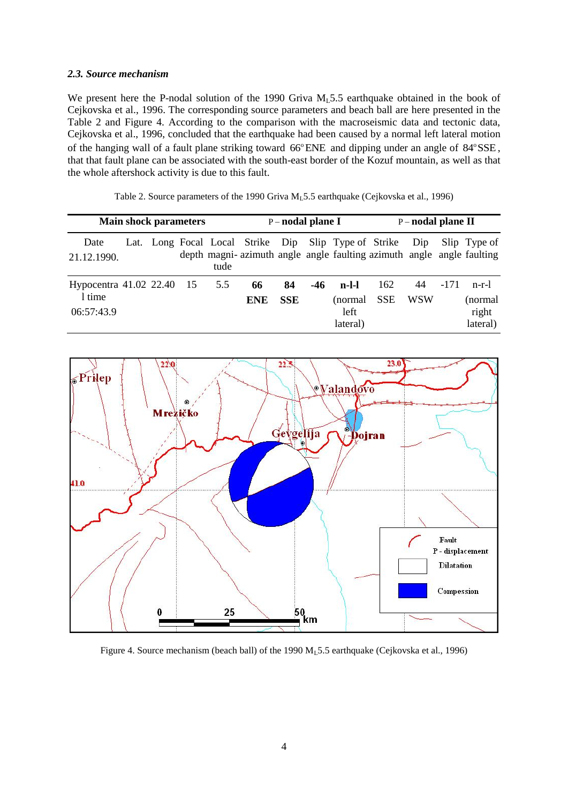#### *2.3. Source mechanism*

We present here the P-nodal solution of the 1990 Griva  $M<sub>L</sub>$ 5.5 earthquake obtained in the book of Cejkovska et al., 1996. The corresponding source parameters and beach ball are here presented in the Table 2 and Figure 4. According to the comparison with the macroseismic data and tectonic data, Cejkovska et al., 1996, concluded that the earthquake had been caused by a normal left lateral motion of the hanging wall of a fault plane striking toward 66°ENE and dipping under an angle of 84°SSE, that that fault plane can be associated with the south-east border of the Kozuf mountain, as well as that the whole aftershock activity is due to this fault.

| Table 2. Source parameters of the 1990 Griva $M_L$ 5.5 earthquake (Cejkovska et al., 1996) |  |  |  |  |  |
|--------------------------------------------------------------------------------------------|--|--|--|--|--|
|--------------------------------------------------------------------------------------------|--|--|--|--|--|

| <b>Main shock parameters</b>                      |  |  |  | $P$ – nodal plane I |                  |                  | P-nodal plane II |                                                          |                   |                  |        |                                                                                       |
|---------------------------------------------------|--|--|--|---------------------|------------------|------------------|------------------|----------------------------------------------------------|-------------------|------------------|--------|---------------------------------------------------------------------------------------|
| Date<br>21.12.1990.                               |  |  |  | tude                |                  |                  |                  | Lat. Long Focal Local Strike Dip Slip Type of Strike Dip |                   |                  |        | Slip Type of<br>depth magni-azimuth angle angle faulting azimuth angle angle faulting |
| Hypocentra 41.02 22.40 15<br>1 time<br>06:57:43.9 |  |  |  | 5.5                 | 66<br><b>ENE</b> | 84<br><b>SSE</b> | -46              | $n-l-1$<br>(normal<br>left<br>lateral)                   | 162<br><b>SSE</b> | 44<br><b>WSW</b> | $-171$ | $n-r-1$<br>(normal<br>right<br>lateral)                                               |



Figure 4. Source mechanism (beach ball) of the 1990  $M<sub>1</sub>5.5$  earthquake (Cejkovska et al., 1996)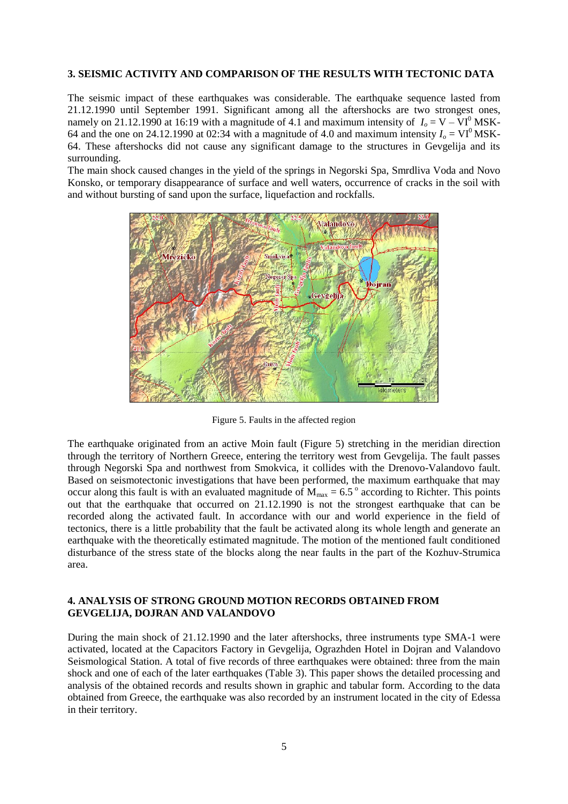#### **3. SEISMIC ACTIVITY AND COMPARISON OF THE RESULTS WITH TECTONIC DATA**

The seismic impact of these earthquakes was considerable. The earthquake sequence lasted from 21.12.1990 until September 1991. Significant among all the aftershocks are two strongest ones, namely on 21.12.1990 at 16:19 with a magnitude of 4.1 and maximum intensity of  $I<sub>o</sub> = V - VI<sup>0</sup> MSK-$ 64 and the one on 24.12.1990 at 02:34 with a magnitude of 4.0 and maximum intensity  $I_0 = VI^0$  MSK-64. These aftershocks did not cause any significant damage to the structures in Gevgelija and its surrounding.

The main shock caused changes in the yield of the springs in Negorski Spa, Smrdliva Voda and Novo Konsko, or temporary disappearance of surface and well waters, occurrence of cracks in the soil with and without bursting of sand upon the surface, liquefaction and rockfalls.



Figure 5. Faults in the affected region

The earthquake originated from an active Moin fault (Figure 5) stretching in the meridian direction through the territory of Northern Greece, entering the territory west from Gevgelija. The fault passes through Negorski Spa and northwest from Smokvica, it collides with the Drenovo-Valandovo fault. Based on seismotectonic investigations that have been performed, the maximum earthquake that may occur along this fault is with an evaluated magnitude of  $M_{\text{max}} = 6.5^{\circ}$  according to Richter. This points out that the earthquake that occurred on 21.12.1990 is not the strongest earthquake that can be recorded along the activated fault. In accordance with our and world experience in the field of tectonics, there is a little probability that the fault be activated along its whole length and generate an earthquake with the theoretically estimated magnitude. The motion of the mentioned fault conditioned disturbance of the stress state of the blocks along the near faults in the part of the Kozhuv-Strumica area.

# **4. ANALYSIS OF STRONG GROUND MOTION RECORDS OBTAINED FROM GEVGELIJA, DOJRAN AND VALANDOVO**

During the main shock of 21.12.1990 and the later aftershocks, three instruments type SMA-1 were activated, located at the Capacitors Factory in Gevgelija, Ograzhden Hotel in Dojran and Valandovo Seismological Station. A total of five records of three earthquakes were obtained: three from the main shock and one of each of the later earthquakes (Table 3). This paper shows the detailed processing and analysis of the obtained records and results shown in graphic and tabular form. According to the data obtained from Greece, the earthquake was also recorded by an instrument located in the city of Edessa in their territory.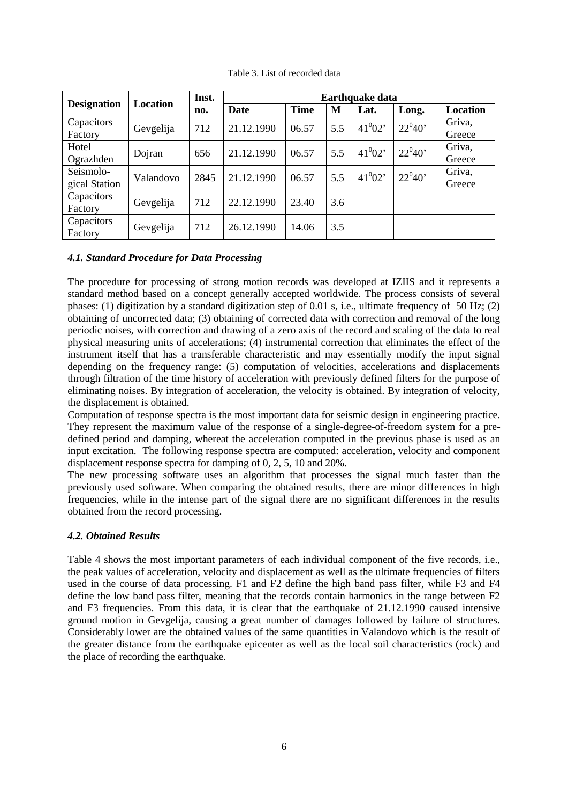|                       |           | Inst. | <b>Earthquake data</b> |             |     |             |            |                  |  |  |
|-----------------------|-----------|-------|------------------------|-------------|-----|-------------|------------|------------------|--|--|
| <b>Designation</b>    | Location  | no.   | Date                   | <b>Time</b> | M   | Lat.        | Long.      | Location         |  |  |
| Capacitors<br>Factory | Gevgelija | 712   | 21.12.1990             | 06.57       | 5.5 | $41^{0}02'$ | $22^0 40'$ | Griva,<br>Greece |  |  |
| Hotel                 | Dojran    | 656   | 21.12.1990             | 06.57       | 5.5 | $41^{0}02'$ | $22^040'$  | Griva,           |  |  |
| Ograzhden             |           |       |                        |             |     |             |            | Greece           |  |  |
| Seismolo-             | Valandovo | 2845  | 21.12.1990             | 06.57       | 5.5 | $41^{0}02'$ | $22^040'$  | Griva,           |  |  |
| gical Station         |           |       |                        |             |     |             |            | Greece           |  |  |
| Capacitors            | Gevgelija | 712   | 22.12.1990             | 23.40       | 3.6 |             |            |                  |  |  |
| Factory               |           |       |                        |             |     |             |            |                  |  |  |
| Capacitors<br>Factory | Gevgelija | 712   | 26.12.1990             | 14.06       | 3.5 |             |            |                  |  |  |

Table 3. List of recorded data

# *4.1. Standard Procedure for Data Processing*

The procedure for processing of strong motion records was developed at IZIIS and it represents a standard method based on a concept generally accepted worldwide. The process consists of several phases: (1) digitization by a standard digitization step of 0.01 s, i.e., ultimate frequency of 50 Hz; (2) obtaining of uncorrected data; (3) obtaining of corrected data with correction and removal of the long periodic noises, with correction and drawing of a zero axis of the record and scaling of the data to real physical measuring units of accelerations; (4) instrumental correction that eliminates the effect of the instrument itself that has a transferable characteristic and may essentially modify the input signal depending on the frequency range: (5) computation of velocities, accelerations and displacements through filtration of the time history of acceleration with previously defined filters for the purpose of eliminating noises. By integration of acceleration, the velocity is obtained. By integration of velocity, the displacement is obtained.

Computation of response spectra is the most important data for seismic design in engineering practice. They represent the maximum value of the response of a single-degree-of-freedom system for a predefined period and damping, whereat the acceleration computed in the previous phase is used as an input excitation. The following response spectra are computed: acceleration, velocity and component displacement response spectra for damping of 0, 2, 5, 10 and 20%.

The new processing software uses an algorithm that processes the signal much faster than the previously used software. When comparing the obtained results, there are minor differences in high frequencies, while in the intense part of the signal there are no significant differences in the results obtained from the record processing.

# *4.2. Obtained Results*

Table 4 shows the most important parameters of each individual component of the five records, i.e., the peak values of acceleration, velocity and displacement as well as the ultimate frequencies of filters used in the course of data processing. F1 and F2 define the high band pass filter, while F3 and F4 define the low band pass filter, meaning that the records contain harmonics in the range between F2 and F3 frequencies. From this data, it is clear that the earthquake of 21.12.1990 caused intensive ground motion in Gevgelija, causing a great number of damages followed by failure of structures. Considerably lower are the obtained values of the same quantities in Valandovo which is the result of the greater distance from the earthquake epicenter as well as the local soil characteristics (rock) and the place of recording the earthquake.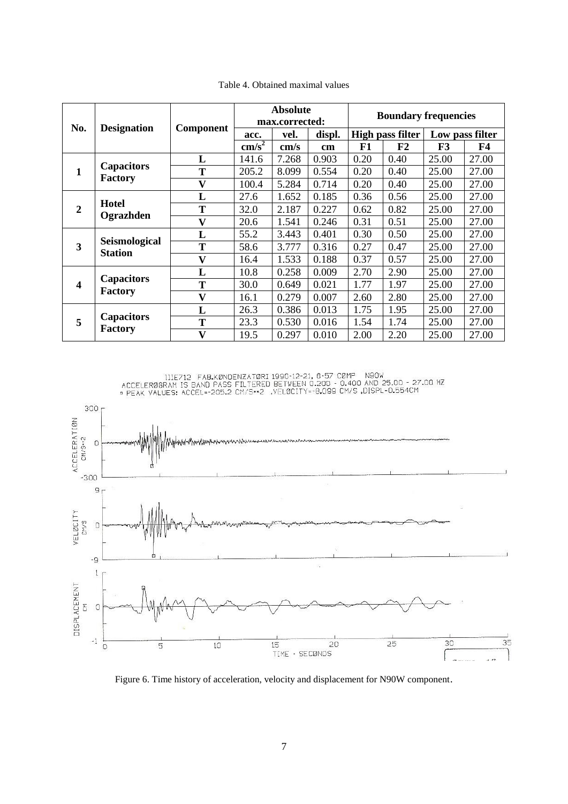|                  |                                     |                         |                 | <b>Absolute</b><br>max.corrected: |        | <b>Boundary frequencies</b> |       |                 |       |
|------------------|-------------------------------------|-------------------------|-----------------|-----------------------------------|--------|-----------------------------|-------|-----------------|-------|
| No.              | <b>Designation</b>                  | <b>Component</b>        | acc.            | vel.                              | displ. | High pass filter            |       | Low pass filter |       |
|                  |                                     |                         | $\text{cm/s}^2$ | $\mathrm{cm/s}$                   | cm     | F1                          | F2    | F3              | F4    |
|                  |                                     | L                       | 141.6           | 7.268                             | 0.903  | 0.20                        | 0.40  | 25.00           | 27.00 |
| 1                | <b>Capacitors</b><br><b>Factory</b> | T                       | 205.2           | 8.099                             | 0.554  | 0.20                        | 0.40  | 25.00           | 27.00 |
|                  |                                     | V                       | 100.4           | 5.284                             | 0.714  | 0.20                        | 0.40  | 25.00           | 27.00 |
|                  |                                     | L                       | 27.6            | 1.652                             | 0.185  | 0.36                        | 0.56  | 25.00           | 27.00 |
| $\boldsymbol{2}$ | <b>Hotel</b>                        | T                       | 32.0            | 2.187                             | 0.227  | 0.62                        | 0.82  | 25.00           | 27.00 |
|                  | Ograzhden                           | $\overline{\mathbf{V}}$ | 20.6            | 1.541                             | 0.246  | 0.31                        | 0.51  | 25.00           | 27.00 |
|                  |                                     | L                       | 55.2            | 3.443                             | 0.401  | 0.30                        | 0.50  | 25.00           | 27.00 |
| 3                | Seismological<br><b>Station</b>     | Т                       | 58.6            | 3.777                             | 0.316  | 0.27                        | 0.47  | 25.00           | 27.00 |
|                  |                                     | $\mathbf{V}$            | 16.4            | 1.533                             | 0.188  | 0.37                        | 0.57  | 25.00           | 27.00 |
|                  |                                     | L                       | 10.8            | 0.258                             | 0.009  | 2.70                        | 2.90  | 25.00           | 27.00 |
| 4                | <b>Capacitors</b>                   | T                       | 30.0            | 0.649                             | 0.021  | 1.77                        | 1.97  | 25.00           | 27.00 |
|                  | <b>Factory</b>                      | V                       | 16.1            | 0.279                             | 0.007  | 2.60                        | 2.80  | 25.00           | 27.00 |
|                  |                                     | L                       | 26.3            | 0.386                             | 0.013  | 1.75                        | 1.95  | 25.00           | 27.00 |
| 5                | <b>Capacitors</b>                   | T                       | 23.3            | 0.530                             | 0.016  | 1.54                        | 1.74  | 25.00           | 27.00 |
| <b>Factory</b>   | $\mathbf{V}$                        | 19.5                    | 0.297           | 0.010                             | 2.00   | 2.20                        | 25.00 | 27.00           |       |

Table 4. Obtained maximal values



Figure 6. Time history of acceleration, velocity and displacement for N90W component.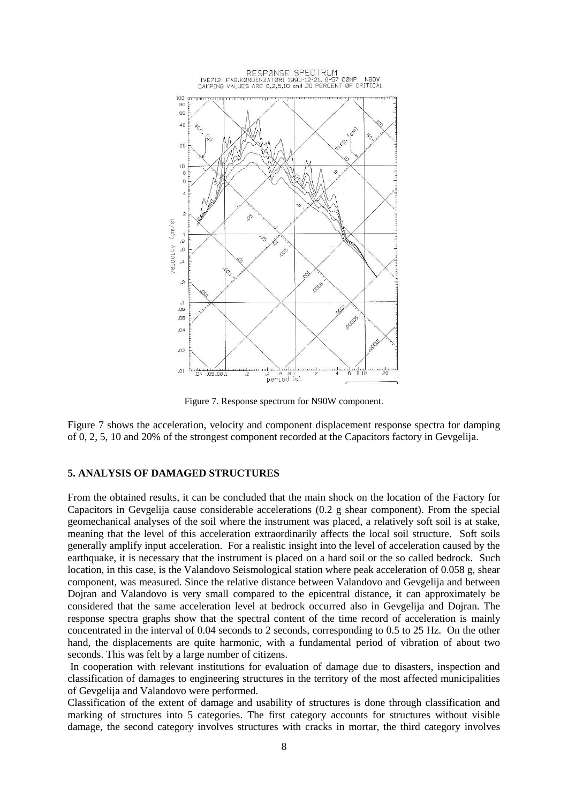

Figure 7. Response spectrum for N90W component.

Figure 7 shows the acceleration, velocity and component displacement response spectra for damping of 0, 2, 5, 10 and 20% of the strongest component recorded at the Capacitors factory in Gevgelija.

## **5. ANALYSIS OF DAMAGED STRUCTURES**

From the obtained results, it can be concluded that the main shock on the location of the Factory for Capacitors in Gevgelija cause considerable accelerations (0.2 g shear component). From the special geomechanical analyses of the soil where the instrument was placed, a relatively soft soil is at stake, meaning that the level of this acceleration extraordinarily affects the local soil structure. Soft soils generally amplify input acceleration. For a realistic insight into the level of acceleration caused by the earthquake, it is necessary that the instrument is placed on a hard soil or the so called bedrock. Such location, in this case, is the Valandovo Seismological station where peak acceleration of 0.058 g, shear component, was measured. Since the relative distance between Valandovo and Gevgelija and between Dojran and Valandovo is very small compared to the epicentral distance, it can approximately be considered that the same acceleration level at bedrock occurred also in Gevgelija and Dojran. The response spectra graphs show that the spectral content of the time record of acceleration is mainly concentrated in the interval of 0.04 seconds to 2 seconds, corresponding to 0.5 to 25 Hz. On the other hand, the displacements are quite harmonic, with a fundamental period of vibration of about two seconds. This was felt by a large number of citizens.

In cooperation with relevant institutions for evaluation of damage due to disasters, inspection and classification of damages to engineering structures in the territory of the most affected municipalities of Gevgelija and Valandovo were performed.

Classification of the extent of damage and usability of structures is done through classification and marking of structures into 5 categories. The first category accounts for structures without visible damage, the second category involves structures with cracks in mortar, the third category involves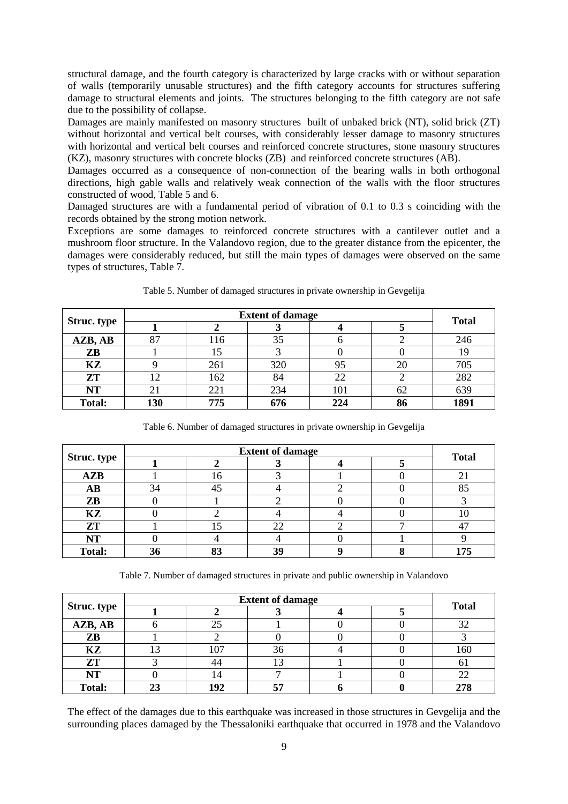structural damage, and the fourth category is characterized by large cracks with or without separation of walls (temporarily unusable structures) and the fifth category accounts for structures suffering damage to structural elements and joints. The structures belonging to the fifth category are not safe due to the possibility of collapse.

Damages are mainly manifested on masonry structures built of unbaked brick (NT), solid brick (ZT) without horizontal and vertical belt courses, with considerably lesser damage to masonry structures with horizontal and vertical belt courses and reinforced concrete structures, stone masonry structures (KZ), masonry structures with concrete blocks (ZB) and reinforced concrete structures (AB).

Damages occurred as a consequence of non-connection of the bearing walls in both orthogonal directions, high gable walls and relatively weak connection of the walls with the floor structures constructed of wood, Table 5 and 6.

Damaged structures are with a fundamental period of vibration of 0.1 to 0.3 s coinciding with the records obtained by the strong motion network.

Exceptions are some damages to reinforced concrete structures with a cantilever outlet and a mushroom floor structure. In the Valandovo region, due to the greater distance from the epicenter, the damages were considerably reduced, but still the main types of damages were observed on the same types of structures, Table 7.

|                    |     | <b>Total</b> |     |     |    |      |
|--------------------|-----|--------------|-----|-----|----|------|
| <b>Struc. type</b> |     |              |     |     |    |      |
| AZB, AB            | 87  | 116          | 35  |     |    | 246  |
| ZB                 |     |              |     |     |    |      |
| KZ                 |     | 261          | 320 | 95  | 20 | 705  |
| <b>ZT</b>          |     | 162          | 84  | 22  |    | 282  |
| <b>NT</b>          | 21  | 221          | 234 | 101 | 62 | 639  |
| <b>Total:</b>      | 130 | 775          | 676 | 224 | 86 | 1891 |

Table 5. Number of damaged structures in private ownership in Gevgelija

|               |    |    | <b>Extent of damage</b> |  | <b>Total</b> |
|---------------|----|----|-------------------------|--|--------------|
| Struc. type   |    |    |                         |  |              |
| AZB           |    |    |                         |  |              |
| AB            | 34 |    |                         |  | OΣ           |
| ZB            |    |    |                         |  |              |
| <b>KZ</b>     |    |    |                         |  |              |
| ZT            |    |    |                         |  |              |
| NT            |    |    |                         |  |              |
| <b>Total:</b> | 30 | o- | 30                      |  | $175 -$      |

Table 6. Number of damaged structures in private ownership in Gevgelija

Table 7. Number of damaged structures in private and public ownership in Valandovo

| <b>Struc.</b> type |  |     |    |  | <b>Total</b> |
|--------------------|--|-----|----|--|--------------|
| AZB, AB            |  | 25  |    |  | 32           |
| ZB                 |  |     |    |  |              |
| KZ                 |  | 07  | 36 |  | 160          |
| ZT                 |  |     |    |  |              |
| $\bf NT$           |  |     |    |  |              |
| <b>Total:</b>      |  | 192 |    |  |              |

The effect of the damages due to this earthquake was increased in those structures in Gevgelija and the surrounding places damaged by the Thessaloniki earthquake that occurred in 1978 and the Valandovo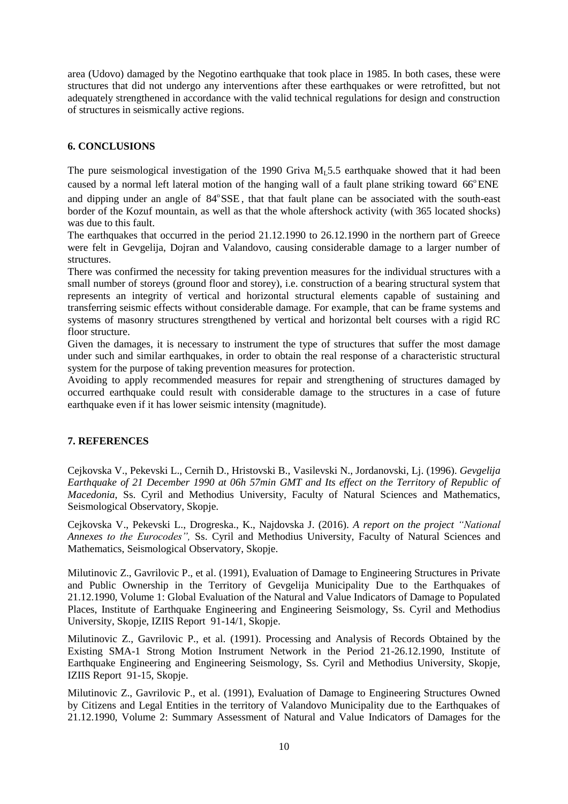area (Udovo) damaged by the Negotino earthquake that took place in 1985. In both cases, these were structures that did not undergo any interventions after these earthquakes or were retrofitted, but not adequately strengthened in accordance with the valid technical regulations for design and construction of structures in seismically active regions.

# **6. CONCLUSIONS**

The pure seismological investigation of the 1990 Griva  $M<sub>1</sub>5.5$  earthquake showed that it had been caused by a normal left lateral motion of the hanging wall of a fault plane striking toward 66°ENE and dipping under an angle of 84°SSE, that that fault plane can be associated with the south-east border of the Kozuf mountain, as well as that the whole aftershock activity (with 365 located shocks) was due to this fault.

The earthquakes that occurred in the period 21.12.1990 to 26.12.1990 in the northern part of Greece were felt in Gevgelija, Dojran and Valandovo, causing considerable damage to a larger number of structures.

There was confirmed the necessity for taking prevention measures for the individual structures with a small number of storeys (ground floor and storey), i.e. construction of a bearing structural system that represents an integrity of vertical and horizontal structural elements capable of sustaining and transferring seismic effects without considerable damage. For example, that can be frame systems and systems of masonry structures strengthened by vertical and horizontal belt courses with a rigid RC floor structure.

Given the damages, it is necessary to instrument the type of structures that suffer the most damage under such and similar earthquakes, in order to obtain the real response of a characteristic structural system for the purpose of taking prevention measures for protection.

Avoiding to apply recommended measures for repair and strengthening of structures damaged by occurred earthquake could result with considerable damage to the structures in a case of future earthquake even if it has lower seismic intensity (magnitude).

## **7. REFERENCES**

Cejkovska V., Pekevski L., Cernih D., Hristovski B., Vasilevski N., Jordanovski, Lj. (1996). *Gevgelija Earthquake of 21 December 1990 at 06h 57min GMT and Its effect on the Territory of Republic of Macedonia*, Ss. Cyril and Methodius University, Faculty of Natural Sciences and Mathematics, Seismological Observatory, Skopje.

Cejkovska V., Pekevski L., Drogreska., K., Najdovska J. (2016). *A report on the project "National Annexes to the Eurocodes",* Ss. Cyril and Methodius University, Faculty of Natural Sciences and Mathematics, Seismological Observatory, Skopje.

Milutinovic Z., Gavrilovic P., et al. (1991), Evaluation of Damage to Engineering Structures in Private and Public Ownership in the Territory of Gevgelija Municipality Due to the Earthquakes of 21.12.1990, Volume 1: Global Evaluation of the Natural and Value Indicators of Damage to Populated Places, Institute of Earthquake Engineering and Engineering Seismology, Ss. Cyril and Methodius University, Skopje, IZIIS Report 91-14/1, Skopje.

Milutinovic Z., Gavrilovic P., et al. (1991). Processing and Analysis of Records Obtained by the Existing SMA-1 Strong Motion Instrument Network in the Period 21-26.12.1990, Institute of Earthquake Engineering and Engineering Seismology, Ss. Cyril and Methodius University, Skopje, IZIIS Report 91-15, Skopje.

Milutinovic Z., Gavrilovic P., et al. (1991), Evaluation of Damage to Engineering Structures Owned by Citizens and Legal Entities in the territory of Valandovo Municipality due to the Earthquakes of 21.12.1990, Volume 2: Summary Assessment of Natural and Value Indicators of Damages for the